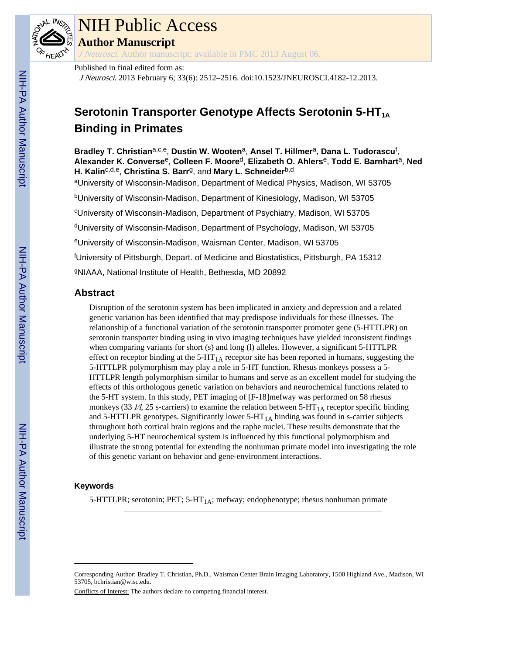

# NIH Public Access

**Author Manuscript**

J Neurosci. Author manuscript; available in PMC 2013 August 06.

Published in final edited form as:

J Neurosci. 2013 February 6; 33(6): 2512–2516. doi:10.1523/JNEUROSCI.4182-12.2013.

# **Serotonin Transporter Genotype Affects Serotonin 5-HT**<sub>1A</sub> **Binding in Primates**

**Bradley T. Christian**a,c,e, **Dustin W. Wooten**a, **Ansel T. Hillmer**a, **Dana L. Tudorascu**<sup>f</sup> , **Alexander K. Converse**e, **Colleen F. Moore**d, **Elizabeth O. Ahlers**e, **Todd E. Barnhart**a, **Ned H. Kalin**c,d,e, **Christina S. Barr**g, and **Mary L. Schneider**b,d

<sup>a</sup>University of Wisconsin-Madison, Department of Medical Physics, Madison, WI 53705

<sup>b</sup>University of Wisconsin-Madison, Department of Kinesiology, Madison, WI 53705

<sup>c</sup>University of Wisconsin-Madison, Department of Psychiatry, Madison, WI 53705

<sup>d</sup>University of Wisconsin-Madison, Department of Psychology, Madison, WI 53705

<sup>e</sup>University of Wisconsin-Madison, Waisman Center, Madison, WI 53705

<sup>f</sup>University of Pittsburgh, Depart. of Medicine and Biostatistics, Pittsburgh, PA 15312

<sup>g</sup>NIAAA, National Institute of Health, Bethesda, MD 20892

# **Abstract**

Disruption of the serotonin system has been implicated in anxiety and depression and a related genetic variation has been identified that may predispose individuals for these illnesses. The relationship of a functional variation of the serotonin transporter promoter gene (5-HTTLPR) on serotonin transporter binding using in vivo imaging techniques have yielded inconsistent findings when comparing variants for short (s) and long (l) alleles. However, a significant 5-HTTLPR effect on receptor binding at the  $5-HT<sub>1A</sub>$  receptor site has been reported in humans, suggesting the 5-HTTLPR polymorphism may play a role in 5-HT function. Rhesus monkeys possess a 5- HTTLPR length polymorphism similar to humans and serve as an excellent model for studying the effects of this orthologous genetic variation on behaviors and neurochemical functions related to the 5-HT system. In this study, PET imaging of [F-18]mefway was performed on 58 rhesus monkeys (33  $\mu$ , 25 s-carriers) to examine the relation between 5-HT<sub>1A</sub> receptor specific binding and 5-HTTLPR genotypes. Significantly lower  $5-HT<sub>1A</sub>$  binding was found in s-carrier subjects throughout both cortical brain regions and the raphe nuclei. These results demonstrate that the underlying 5-HT neurochemical system is influenced by this functional polymorphism and illustrate the strong potential for extending the nonhuman primate model into investigating the role of this genetic variant on behavior and gene-environment interactions.

# **Keywords**

5-HTTLPR; serotonin; PET; 5-HT<sub>1A</sub>; mefway; endophenotype; rhesus nonhuman primate

Conflicts of Interest: The authors declare no competing financial interest.

Corresponding Author: Bradley T. Christian, Ph.D., Waisman Center Brain Imaging Laboratory, 1500 Highland Ave., Madison, WI 53705, bchristian@wisc.edu.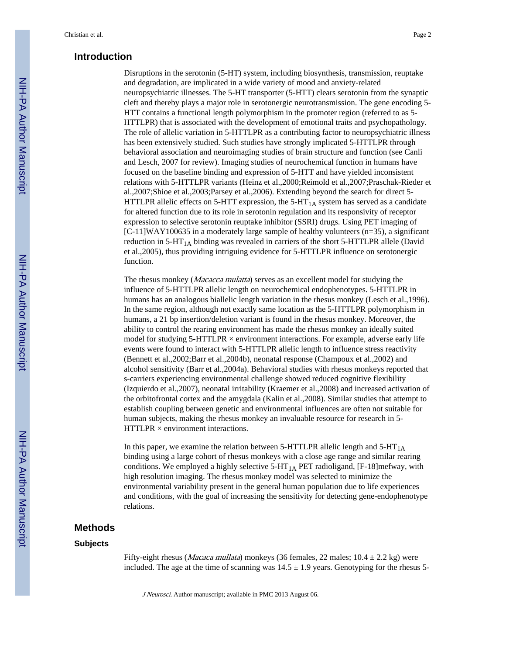# **Introduction**

Disruptions in the serotonin (5-HT) system, including biosynthesis, transmission, reuptake and degradation, are implicated in a wide variety of mood and anxiety-related neuropsychiatric illnesses. The 5-HT transporter (5-HTT) clears serotonin from the synaptic cleft and thereby plays a major role in serotonergic neurotransmission. The gene encoding 5- HTT contains a functional length polymorphism in the promoter region (referred to as 5- HTTLPR) that is associated with the development of emotional traits and psychopathology. The role of allelic variation in 5-HTTLPR as a contributing factor to neuropsychiatric illness has been extensively studied. Such studies have strongly implicated 5-HTTLPR through behavioral association and neuroimaging studies of brain structure and function (see Canli and Lesch, 2007 for review). Imaging studies of neurochemical function in humans have focused on the baseline binding and expression of 5-HTT and have yielded inconsistent relations with 5-HTTLPR variants (Heinz et al.,2000;Reimold et al.,2007;Praschak-Rieder et al.,2007;Shioe et al.,2003;Parsey et al.,2006). Extending beyond the search for direct 5- HTTLPR allelic effects on 5-HTT expression, the  $5-HT<sub>1A</sub>$  system has served as a candidate for altered function due to its role in serotonin regulation and its responsivity of receptor expression to selective serotonin reuptake inhibitor (SSRI) drugs. Using PET imaging of  $[C-11]$ WAY100635 in a moderately large sample of healthy volunteers ( $n=35$ ), a significant reduction in  $5-HT<sub>1A</sub>$  binding was revealed in carriers of the short  $5-HTILPR$  allele (David et al.,2005), thus providing intriguing evidence for 5-HTTLPR influence on serotonergic function.

The rhesus monkey (*Macacca mulatta*) serves as an excellent model for studying the influence of 5-HTTLPR allelic length on neurochemical endophenotypes. 5-HTTLPR in humans has an analogous biallelic length variation in the rhesus monkey (Lesch et al.,1996). In the same region, although not exactly same location as the 5-HTTLPR polymorphism in humans, a 21 bp insertion/deletion variant is found in the rhesus monkey. Moreover, the ability to control the rearing environment has made the rhesus monkey an ideally suited model for studying  $5$ -HTTLPR  $\times$  environment interactions. For example, adverse early life events were found to interact with 5-HTTLPR allelic length to influence stress reactivity (Bennett et al.,2002;Barr et al.,2004b), neonatal response (Champoux et al.,2002) and alcohol sensitivity (Barr et al.,2004a). Behavioral studies with rhesus monkeys reported that s-carriers experiencing environmental challenge showed reduced cognitive flexibility (Izquierdo et al.,2007), neonatal irritability (Kraemer et al.,2008) and increased activation of the orbitofrontal cortex and the amygdala (Kalin et al.,2008). Similar studies that attempt to establish coupling between genetic and environmental influences are often not suitable for human subjects, making the rhesus monkey an invaluable resource for research in 5-  $HTTLPR \times environment$  interactions.

In this paper, we examine the relation between 5-HTTLPR allelic length and  $5-HT_{1A}$ binding using a large cohort of rhesus monkeys with a close age range and similar rearing conditions. We employed a highly selective  $5-HT<sub>1A</sub> PET$  radioligand, [F-18]mefway, with high resolution imaging. The rhesus monkey model was selected to minimize the environmental variability present in the general human population due to life experiences and conditions, with the goal of increasing the sensitivity for detecting gene-endophenotype relations.

## **Methods**

#### **Subjects**

Fifty-eight rhesus (*Macaca mullata*) monkeys (36 females, 22 males;  $10.4 \pm 2.2$  kg) were included. The age at the time of scanning was  $14.5 \pm 1.9$  years. Genotyping for the rhesus 5-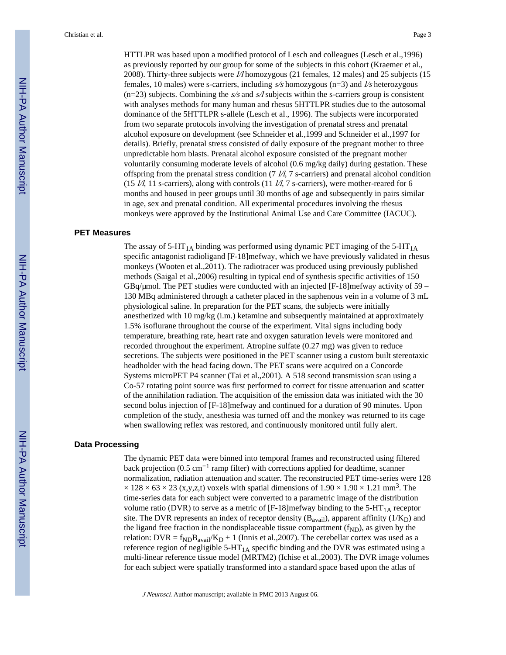HTTLPR was based upon a modified protocol of Lesch and colleagues (Lesch et al.,1996) as previously reported by our group for some of the subjects in this cohort (Kraemer et al., 2008). Thirty-three subjects were l/l homozygous (21 females, 12 males) and 25 subjects (15 females, 10 males) were s-carriers, including  $s/s$  homozygous (n=3) and  $l/s$  heterozygous  $(n=23)$  subjects. Combining the s/s and s/l subjects within the s-carriers group is consistent with analyses methods for many human and rhesus 5HTTLPR studies due to the autosomal dominance of the 5HTTLPR s-allele (Lesch et al., 1996). The subjects were incorporated from two separate protocols involving the investigation of prenatal stress and prenatal alcohol exposure on development (see Schneider et al.,1999 and Schneider et al.,1997 for details). Briefly, prenatal stress consisted of daily exposure of the pregnant mother to three unpredictable horn blasts. Prenatal alcohol exposure consisted of the pregnant mother voluntarily consuming moderate levels of alcohol (0.6 mg/kg daily) during gestation. These offspring from the prenatal stress condition (7  $\mu$ , 7 s-carriers) and prenatal alcohol condition (15  $\n *l*/l, 11 s-carriers), along with controls (11 *l*/l, 7 s-carriers), were mother-reared for 6$ months and housed in peer groups until 30 months of age and subsequently in pairs similar in age, sex and prenatal condition. All experimental procedures involving the rhesus monkeys were approved by the Institutional Animal Use and Care Committee (IACUC).

#### **PET Measures**

The assay of  $5-HT_{1A}$  binding was performed using dynamic PET imaging of the  $5-HT_{1A}$ specific antagonist radioligand [F-18]mefway, which we have previously validated in rhesus monkeys (Wooten et al.,2011). The radiotracer was produced using previously published methods (Saigal et al.,2006) resulting in typical end of synthesis specific activities of 150  $GBq/\mu$ mol. The PET studies were conducted with an injected [F-18]mefway activity of 59 – 130 MBq administered through a catheter placed in the saphenous vein in a volume of 3 mL physiological saline. In preparation for the PET scans, the subjects were initially anesthetized with 10 mg/kg  $(i.m.)$  ketamine and subsequently maintained at approximately 1.5% isoflurane throughout the course of the experiment. Vital signs including body temperature, breathing rate, heart rate and oxygen saturation levels were monitored and recorded throughout the experiment. Atropine sulfate (0.27 mg) was given to reduce secretions. The subjects were positioned in the PET scanner using a custom built stereotaxic headholder with the head facing down. The PET scans were acquired on a Concorde Systems microPET P4 scanner (Tai et al.,2001). A 518 second transmission scan using a Co-57 rotating point source was first performed to correct for tissue attenuation and scatter of the annihilation radiation. The acquisition of the emission data was initiated with the 30 second bolus injection of [F-18]mefway and continued for a duration of 90 minutes. Upon completion of the study, anesthesia was turned off and the monkey was returned to its cage when swallowing reflex was restored, and continuously monitored until fully alert.

#### **Data Processing**

The dynamic PET data were binned into temporal frames and reconstructed using filtered back projection (0.5 cm−1 ramp filter) with corrections applied for deadtime, scanner normalization, radiation attenuation and scatter. The reconstructed PET time-series were 128  $\times$  128  $\times$  63  $\times$  23 (x,y,z,t) voxels with spatial dimensions of 1.90  $\times$  1.90  $\times$  1.21 mm<sup>3</sup>. The time-series data for each subject were converted to a parametric image of the distribution volume ratio (DVR) to serve as a metric of  $[F-18]$ mefway binding to the 5-HT<sub>1A</sub> receptor site. The DVR represents an index of receptor density ( $B_{\text{avail}}$ ), apparent affinity ( $1/K_D$ ) and the ligand free fraction in the nondisplaceable tissue compartment  $(f_{ND})$ , as given by the relation: DVR =  $f_{ND}B_{avail}/K_D + 1$  (Innis et al., 2007). The cerebellar cortex was used as a reference region of negligible  $5-HT_{1A}$  specific binding and the DVR was estimated using a multi-linear reference tissue model (MRTM2) (Ichise et al.,2003). The DVR image volumes for each subject were spatially transformed into a standard space based upon the atlas of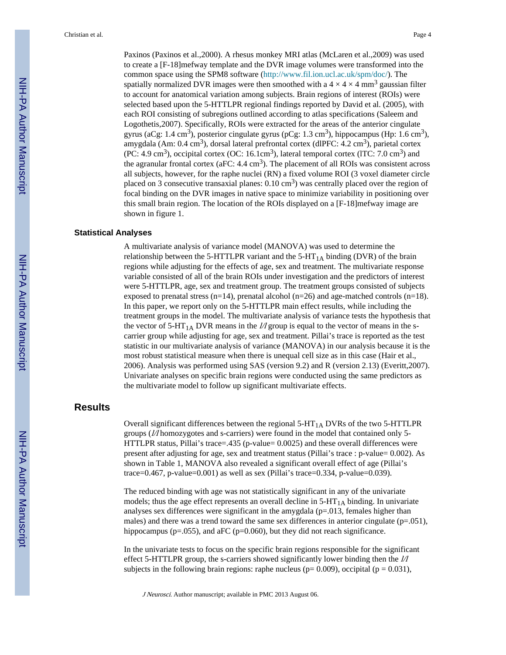Paxinos (Paxinos et al.,2000). A rhesus monkey MRI atlas (McLaren et al.,2009) was used to create a [F-18]mefway template and the DVR image volumes were transformed into the common space using the SPM8 software (<http://www.fil.ion.ucl.ac.uk/spm/doc/>). The spatially normalized DVR images were then smoothed with a  $4 \times 4 \times 4$  mm<sup>3</sup> gaussian filter to account for anatomical variation among subjects. Brain regions of interest (ROIs) were selected based upon the 5-HTTLPR regional findings reported by David et al. (2005), with each ROI consisting of subregions outlined according to atlas specifications (Saleem and Logothetis,2007). Specifically, ROIs were extracted for the areas of the anterior cingulate gyrus (aCg: 1.4 cm<sup>3</sup>), posterior cingulate gyrus (pCg: 1.3 cm<sup>3</sup>), hippocampus (Hp: 1.6 cm<sup>3</sup>), amygdala (Am: 0.4 cm<sup>3</sup>), dorsal lateral prefrontal cortex (dlPFC: 4.2 cm<sup>3</sup>), parietal cortex (PC: 4.9 cm<sup>3</sup>), occipital cortex (OC: 16.1cm<sup>3</sup>), lateral temporal cortex (ITC: 7.0 cm<sup>3</sup>) and the agranular frontal cortex ( $aFC: 4.4 \text{ cm}^3$ ). The placement of all ROIs was consistent across all subjects, however, for the raphe nuclei (RN) a fixed volume ROI (3 voxel diameter circle placed on 3 consecutive transaxial planes:  $0.10 \text{ cm}^3$ ) was centrally placed over the region of focal binding on the DVR images in native space to minimize variability in positioning over this small brain region. The location of the ROIs displayed on a [F-18]mefway image are shown in figure 1.

#### **Statistical Analyses**

A multivariate analysis of variance model (MANOVA) was used to determine the relationship between the 5-HTTLPR variant and the  $5-HT<sub>1A</sub>$  binding (DVR) of the brain regions while adjusting for the effects of age, sex and treatment. The multivariate response variable consisted of all of the brain ROIs under investigation and the predictors of interest were 5-HTTLPR, age, sex and treatment group. The treatment groups consisted of subjects exposed to prenatal stress  $(n=14)$ , prenatal alcohol  $(n=26)$  and age-matched controls  $(n=18)$ . In this paper, we report only on the 5-HTTLPR main effect results, while including the treatment groups in the model. The multivariate analysis of variance tests the hypothesis that the vector of 5-HT<sub>1A</sub> DVR means in the  $1/2$  group is equal to the vector of means in the scarrier group while adjusting for age, sex and treatment. Pillai's trace is reported as the test statistic in our multivariate analysis of variance (MANOVA) in our analysis because it is the most robust statistical measure when there is unequal cell size as in this case (Hair et al., 2006). Analysis was performed using SAS (version 9.2) and R (version 2.13) (Everitt,2007). Univariate analyses on specific brain regions were conducted using the same predictors as the multivariate model to follow up significant multivariate effects.

# **Results**

Overall significant differences between the regional  $5-HT<sub>1A</sub>$  DVRs of the two  $5-HTTLPR$ groups (l/l homozygotes and s-carriers) were found in the model that contained only 5- HTTLPR status, Pillai's trace=.435 (p-value= 0.0025) and these overall differences were present after adjusting for age, sex and treatment status (Pillai's trace : p-value= 0.002). As shown in Table 1, MANOVA also revealed a significant overall effect of age (Pillai's trace=0.467, p-value=0.001) as well as sex (Pillai's trace=0.334, p-value=0.039).

The reduced binding with age was not statistically significant in any of the univariate models; thus the age effect represents an overall decline in  $5-HT<sub>1A</sub>$  binding. In univariate analyses sex differences were significant in the amygdala (p=.013, females higher than males) and there was a trend toward the same sex differences in anterior cingulate  $(p=0.051)$ , hippocampus (p=.055), and aFC (p=0.060), but they did not reach significance.

In the univariate tests to focus on the specific brain regions responsible for the significant effect 5-HTTLPR group, the s-carriers showed significantly lower binding then the  $1/\sqrt{1}$ subjects in the following brain regions: raphe nucleus ( $p= 0.009$ ), occipital ( $p = 0.031$ ),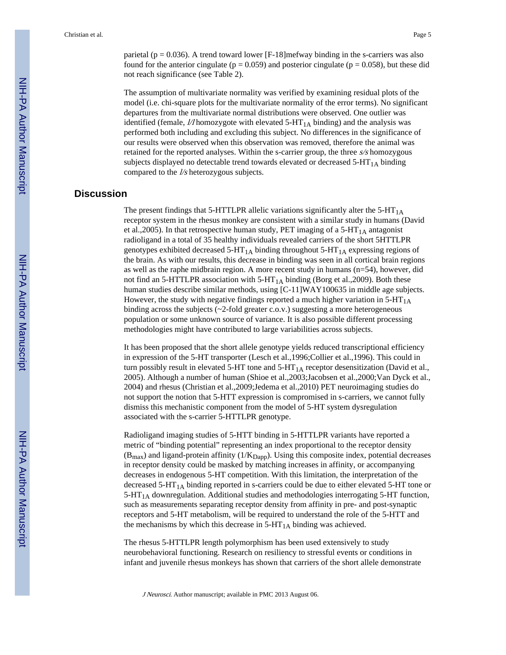parietal ( $p = 0.036$ ). A trend toward lower [F-18]mefway binding in the s-carriers was also found for the anterior cingulate ( $p = 0.059$ ) and posterior cingulate ( $p = 0.058$ ), but these did not reach significance (see Table 2).

The assumption of multivariate normality was verified by examining residual plots of the model (i.e. chi-square plots for the multivariate normality of the error terms). No significant departures from the multivariate normal distributions were observed. One outlier was identified (female,  $1/1$  homozygote with elevated  $5-HT<sub>1A</sub>$  binding) and the analysis was performed both including and excluding this subject. No differences in the significance of our results were observed when this observation was removed, therefore the animal was retained for the reported analyses. Within the s-carrier group, the three  $s/s$  homozygous subjects displayed no detectable trend towards elevated or decreased  $5-HT<sub>1A</sub>$  binding compared to the *l/s* heterozygous subjects.

# **Discussion**

The present findings that 5-HTTLPR allelic variations significantly alter the  $5-HT<sub>1A</sub>$ receptor system in the rhesus monkey are consistent with a similar study in humans (David et al., 2005). In that retrospective human study, PET imaging of a 5-HT<sub>1A</sub> antagonist radioligand in a total of 35 healthy individuals revealed carriers of the short 5HTTLPR genotypes exhibited decreased  $5-HT_{1A}$  binding throughout  $5-HT_{1A}$  expressing regions of the brain. As with our results, this decrease in binding was seen in all cortical brain regions as well as the raphe midbrain region. A more recent study in humans (n=54), however, did not find an 5-HTTLPR association with  $5-HT_{1A}$  binding (Borg et al., 2009). Both these human studies describe similar methods, using [C-11]WAY100635 in middle age subjects. However, the study with negative findings reported a much higher variation in  $5-HT<sub>1A</sub>$ binding across the subjects  $(\sim 2$ -fold greater c.o.v.) suggesting a more heterogeneous population or some unknown source of variance. It is also possible different processing methodologies might have contributed to large variabilities across subjects.

It has been proposed that the short allele genotype yields reduced transcriptional efficiency in expression of the 5-HT transporter (Lesch et al.,1996;Collier et al.,1996). This could in turn possibly result in elevated 5-HT tone and  $5$ -HT<sub>1A</sub> receptor desensitization (David et al., 2005). Although a number of human (Shioe et al.,2003;Jacobsen et al.,2000;Van Dyck et al., 2004) and rhesus (Christian et al.,2009;Jedema et al.,2010) PET neuroimaging studies do not support the notion that 5-HTT expression is compromised in s-carriers, we cannot fully dismiss this mechanistic component from the model of 5-HT system dysregulation associated with the s-carrier 5-HTTLPR genotype.

Radioligand imaging studies of 5-HTT binding in 5-HTTLPR variants have reported a metric of "binding potential" representing an index proportional to the receptor density  $(B_{max})$  and ligand-protein affinity  $(1/K_{Dapp})$ . Using this composite index, potential decreases in receptor density could be masked by matching increases in affinity, or accompanying decreases in endogenous 5-HT competition. With this limitation, the interpretation of the decreased  $5-HT<sub>1A</sub>$  binding reported in s-carriers could be due to either elevated  $5-HT$  tone or  $5-HT<sub>1A</sub>$  downregulation. Additional studies and methodologies interrogating 5-HT function, such as measurements separating receptor density from affinity in pre- and post-synaptic receptors and 5-HT metabolism, will be required to understand the role of the 5-HTT and the mechanisms by which this decrease in  $5-HT<sub>1A</sub>$  binding was achieved.

The rhesus 5-HTTLPR length polymorphism has been used extensively to study neurobehavioral functioning. Research on resiliency to stressful events or conditions in infant and juvenile rhesus monkeys has shown that carriers of the short allele demonstrate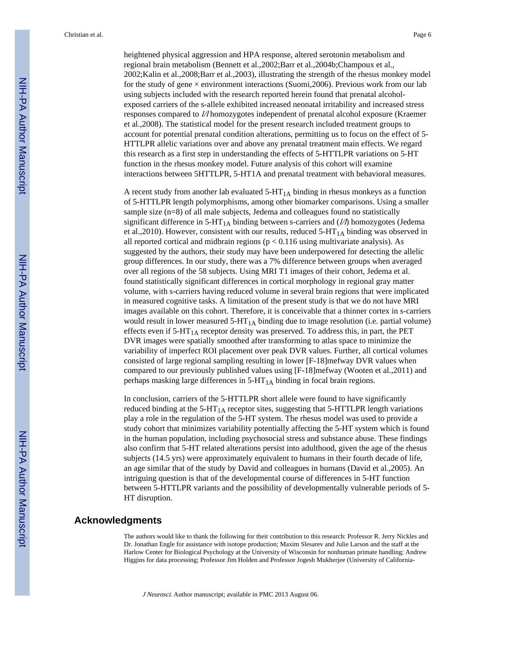Christian et al. Page 6

heightened physical aggression and HPA response, altered serotonin metabolism and regional brain metabolism (Bennett et al.,2002;Barr et al.,2004b;Champoux et al., 2002;Kalin et al.,2008;Barr et al.,2003), illustrating the strength of the rhesus monkey model for the study of gene  $\times$  environment interactions (Suomi, 2006). Previous work from our lab using subjects included with the research reported herein found that prenatal alcoholexposed carriers of the s-allele exhibited increased neonatal irritability and increased stress responses compared to l/l homozygotes independent of prenatal alcohol exposure (Kraemer et al.,2008). The statistical model for the present research included treatment groups to account for potential prenatal condition alterations, permitting us to focus on the effect of 5- HTTLPR allelic variations over and above any prenatal treatment main effects. We regard this research as a first step in understanding the effects of 5-HTTLPR variations on 5-HT function in the rhesus monkey model. Future analysis of this cohort will examine interactions between 5HTTLPR, 5-HT1A and prenatal treatment with behavioral measures.

A recent study from another lab evaluated  $5-HT<sub>1A</sub>$  binding in rhesus monkeys as a function of 5-HTTLPR length polymorphisms, among other biomarker comparisons. Using a smaller sample size (n=8) of all male subjects, Jedema and colleagues found no statistically significant difference in  $5-HT_{1A}$  binding between s-carriers and ( $1/\sqrt{2}$ ) homozygotes (Jedema et al., 2010). However, consistent with our results, reduced  $5-HT_{1A}$  binding was observed in all reported cortical and midbrain regions ( $p < 0.116$  using multivariate analysis). As suggested by the authors, their study may have been underpowered for detecting the allelic group differences. In our study, there was a 7% difference between groups when averaged over all regions of the 58 subjects. Using MRI T1 images of their cohort, Jedema et al. found statistically significant differences in cortical morphology in regional gray matter volume, with s-carriers having reduced volume in several brain regions that were implicated in measured cognitive tasks. A limitation of the present study is that we do not have MRI images available on this cohort. Therefore, it is conceivable that a thinner cortex in s-carriers would result in lower measured  $5-HT<sub>1A</sub>$  binding due to image resolution (i.e. partial volume) effects even if  $5-HT<sub>1A</sub>$  receptor density was preserved. To address this, in part, the PET DVR images were spatially smoothed after transforming to atlas space to minimize the variability of imperfect ROI placement over peak DVR values. Further, all cortical volumes consisted of large regional sampling resulting in lower [F-18]mefway DVR values when compared to our previously published values using [F-18]mefway (Wooten et al.,2011) and perhaps masking large differences in  $5-HT<sub>1A</sub>$  binding in focal brain regions.

In conclusion, carriers of the 5-HTTLPR short allele were found to have significantly reduced binding at the  $5-HT<sub>1A</sub>$  receptor sites, suggesting that  $5-HTTLPR$  length variations play a role in the regulation of the 5-HT system. The rhesus model was used to provide a study cohort that minimizes variability potentially affecting the 5-HT system which is found in the human population, including psychosocial stress and substance abuse. These findings also confirm that 5-HT related alterations persist into adulthood, given the age of the rhesus subjects (14.5 yrs) were approximately equivalent to humans in their fourth decade of life, an age similar that of the study by David and colleagues in humans (David et al.,2005). An intriguing question is that of the developmental course of differences in 5-HT function between 5-HTTLPR variants and the possibility of developmentally vulnerable periods of 5- HT disruption.

# **Acknowledgments**

The authors would like to thank the following for their contribution to this research: Professor R. Jerry Nickles and Dr. Jonathan Engle for assistance with isotope production; Maxim Slesarev and Julie Larson and the staff at the Harlow Center for Biological Psychology at the University of Wisconsin for nonhuman primate handling; Andrew Higgins for data processing; Professor Jim Holden and Professor Jogesh Mukherjee (University of California-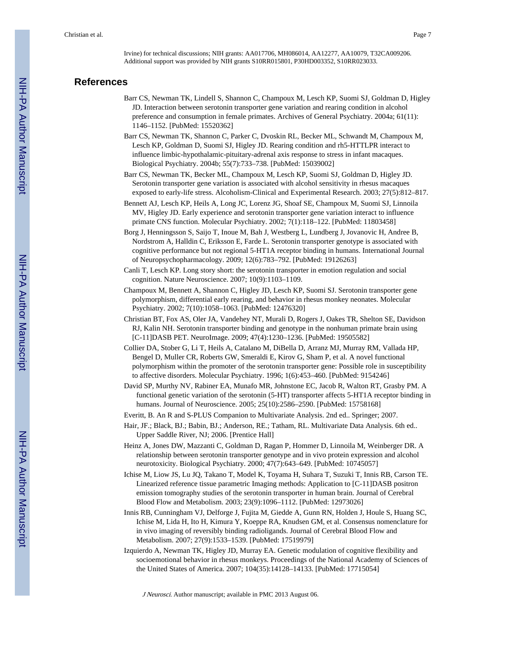Irvine) for technical discussions; NIH grants: AA017706, MH086014, AA12277, AA10079, T32CA009206. Additional support was provided by NIH grants S10RR015801, P30HD003352, S10RR023033.

# **References**

- Barr CS, Newman TK, Lindell S, Shannon C, Champoux M, Lesch KP, Suomi SJ, Goldman D, Higley JD. Interaction between serotonin transporter gene variation and rearing condition in alcohol preference and consumption in female primates. Archives of General Psychiatry. 2004a; 61(11): 1146–1152. [PubMed: 15520362]
- Barr CS, Newman TK, Shannon C, Parker C, Dvoskin RL, Becker ML, Schwandt M, Champoux M, Lesch KP, Goldman D, Suomi SJ, Higley JD. Rearing condition and rh5-HTTLPR interact to influence limbic-hypothalamic-pituitary-adrenal axis response to stress in infant macaques. Biological Psychiatry. 2004b; 55(7):733–738. [PubMed: 15039002]
- Barr CS, Newman TK, Becker ML, Champoux M, Lesch KP, Suomi SJ, Goldman D, Higley JD. Serotonin transporter gene variation is associated with alcohol sensitivity in rhesus macaques exposed to early-life stress. Alcoholism-Clinical and Experimental Research. 2003; 27(5):812–817.
- Bennett AJ, Lesch KP, Heils A, Long JC, Lorenz JG, Shoaf SE, Champoux M, Suomi SJ, Linnoila MV, Higley JD. Early experience and serotonin transporter gene variation interact to influence primate CNS function. Molecular Psychiatry. 2002; 7(1):118–122. [PubMed: 11803458]
- Borg J, Henningsson S, Saijo T, Inoue M, Bah J, Westberg L, Lundberg J, Jovanovic H, Andree B, Nordstrom A, Halldin C, Eriksson E, Farde L. Serotonin transporter genotype is associated with cognitive performance but not regional 5-HT1A receptor binding in humans. International Journal of Neuropsychopharmacology. 2009; 12(6):783–792. [PubMed: 19126263]
- Canli T, Lesch KP. Long story short: the serotonin transporter in emotion regulation and social cognition. Nature Neuroscience. 2007; 10(9):1103–1109.
- Champoux M, Bennett A, Shannon C, Higley JD, Lesch KP, Suomi SJ. Serotonin transporter gene polymorphism, differential early rearing, and behavior in rhesus monkey neonates. Molecular Psychiatry. 2002; 7(10):1058–1063. [PubMed: 12476320]
- Christian BT, Fox AS, Oler JA, Vandehey NT, Murali D, Rogers J, Oakes TR, Shelton SE, Davidson RJ, Kalin NH. Serotonin transporter binding and genotype in the nonhuman primate brain using [C-11]DASB PET. NeuroImage. 2009; 47(4):1230–1236. [PubMed: 19505582]
- Collier DA, Stober G, Li T, Heils A, Catalano M, DiBella D, Arranz MJ, Murray RM, Vallada HP, Bengel D, Muller CR, Roberts GW, Smeraldi E, Kirov G, Sham P, et al. A novel functional polymorphism within the promoter of the serotonin transporter gene: Possible role in susceptibility to affective disorders. Molecular Psychiatry. 1996; 1(6):453–460. [PubMed: 9154246]
- David SP, Murthy NV, Rabiner EA, Munafo MR, Johnstone EC, Jacob R, Walton RT, Grasby PM. A functional genetic variation of the serotonin (5-HT) transporter affects 5-HT1A receptor binding in humans. Journal of Neuroscience. 2005; 25(10):2586–2590. [PubMed: 15758168]
- Everitt, B. An R and S-PLUS Companion to Multivariate Analysis. 2nd ed.. Springer; 2007.
- Hair, JF.; Black, BJ.; Babin, BJ.; Anderson, RE.; Tatham, RL. Multivariate Data Analysis. 6th ed.. Upper Saddle River, NJ; 2006. [Prentice Hall]
- Heinz A, Jones DW, Mazzanti C, Goldman D, Ragan P, Hommer D, Linnoila M, Weinberger DR. A relationship between serotonin transporter genotype and in vivo protein expression and alcohol neurotoxicity. Biological Psychiatry. 2000; 47(7):643–649. [PubMed: 10745057]
- Ichise M, Liow JS, Lu JQ, Takano T, Model K, Toyama H, Suhara T, Suzuki T, Innis RB, Carson TE. Linearized reference tissue parametric Imaging methods: Application to [C-11]DASB positron emission tomography studies of the serotonin transporter in human brain. Journal of Cerebral Blood Flow and Metabolism. 2003; 23(9):1096–1112. [PubMed: 12973026]
- Innis RB, Cunningham VJ, Delforge J, Fujita M, Giedde A, Gunn RN, Holden J, Houle S, Huang SC, Ichise M, Lida H, Ito H, Kimura Y, Koeppe RA, Knudsen GM, et al. Consensus nomenclature for in vivo imaging of reversibly binding radioligands. Journal of Cerebral Blood Flow and Metabolism. 2007; 27(9):1533–1539. [PubMed: 17519979]
- Izquierdo A, Newman TK, Higley JD, Murray EA. Genetic modulation of cognitive flexibility and socioemotional behavior in rhesus monkeys. Proceedings of the National Academy of Sciences of the United States of America. 2007; 104(35):14128–14133. [PubMed: 17715054]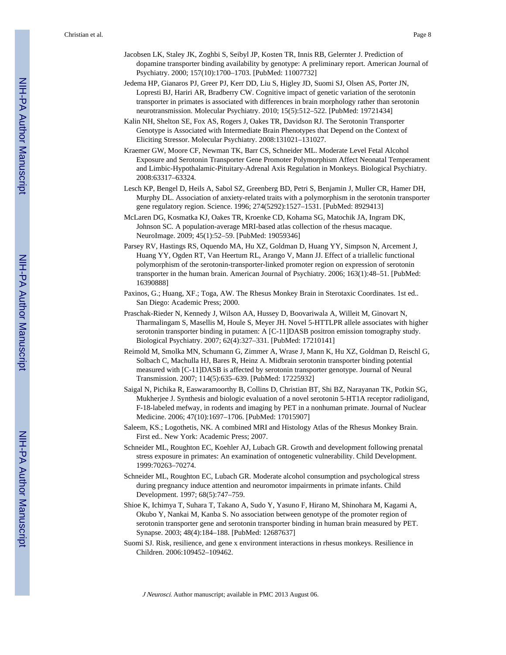- Jacobsen LK, Staley JK, Zoghbi S, Seibyl JP, Kosten TR, Innis RB, Gelernter J. Prediction of dopamine transporter binding availability by genotype: A preliminary report. American Journal of Psychiatry. 2000; 157(10):1700–1703. [PubMed: 11007732]
- Jedema HP, Gianaros PJ, Greer PJ, Kerr DD, Liu S, Higley JD, Suomi SJ, Olsen AS, Porter JN, Lopresti BJ, Hariri AR, Bradberry CW. Cognitive impact of genetic variation of the serotonin transporter in primates is associated with differences in brain morphology rather than serotonin neurotransmission. Molecular Psychiatry. 2010; 15(5):512–522. [PubMed: 19721434]
- Kalin NH, Shelton SE, Fox AS, Rogers J, Oakes TR, Davidson RJ. The Serotonin Transporter Genotype is Associated with Intermediate Brain Phenotypes that Depend on the Context of Eliciting Stressor. Molecular Psychiatry. 2008:131021–131027.
- Kraemer GW, Moore CF, Newman TK, Barr CS, Schneider ML. Moderate Level Fetal Alcohol Exposure and Serotonin Transporter Gene Promoter Polymorphism Affect Neonatal Temperament and Limbic-Hypothalamic-Pituitary-Adrenal Axis Regulation in Monkeys. Biological Psychiatry. 2008:63317–63324.
- Lesch KP, Bengel D, Heils A, Sabol SZ, Greenberg BD, Petri S, Benjamin J, Muller CR, Hamer DH, Murphy DL. Association of anxiety-related traits with a polymorphism in the serotonin transporter gene regulatory region. Science. 1996; 274(5292):1527–1531. [PubMed: 8929413]
- McLaren DG, Kosmatka KJ, Oakes TR, Kroenke CD, Kohama SG, Matochik JA, Ingram DK, Johnson SC. A population-average MRI-based atlas collection of the rhesus macaque. NeuroImage. 2009; 45(1):52–59. [PubMed: 19059346]
- Parsey RV, Hastings RS, Oquendo MA, Hu XZ, Goldman D, Huang YY, Simpson N, Arcement J, Huang YY, Ogden RT, Van Heertum RL, Arango V, Mann JJ. Effect of a triallelic functional polymorphism of the serotonin-transporter-linked promoter region on expression of serotonin transporter in the human brain. American Journal of Psychiatry. 2006; 163(1):48–51. [PubMed: 16390888]
- Paxinos, G.; Huang, XF.; Toga, AW. The Rhesus Monkey Brain in Sterotaxic Coordinates. 1st ed.. San Diego: Academic Press; 2000.
- Praschak-Rieder N, Kennedy J, Wilson AA, Hussey D, Boovariwala A, Willeit M, Ginovart N, Tharmalingam S, Masellis M, Houle S, Meyer JH. Novel 5-HTTLPR allele associates with higher serotonin transporter binding in putamen: A [C-11]DASB positron emission tomography study. Biological Psychiatry. 2007; 62(4):327–331. [PubMed: 17210141]
- Reimold M, Smolka MN, Schumann G, Zimmer A, Wrase J, Mann K, Hu XZ, Goldman D, Reischl G, Solbach C, Machulla HJ, Bares R, Heinz A. Midbrain serotonin transporter binding potential measured with [C-11]DASB is affected by serotonin transporter genotype. Journal of Neural Transmission. 2007; 114(5):635–639. [PubMed: 17225932]
- Saigal N, Pichika R, Easwaramoorthy B, Collins D, Christian BT, Shi BZ, Narayanan TK, Potkin SG, Mukherjee J. Synthesis and biologic evaluation of a novel serotonin 5-HT1A receptor radioligand, F-18-labeled mefway, in rodents and imaging by PET in a nonhuman primate. Journal of Nuclear Medicine. 2006; 47(10):1697–1706. [PubMed: 17015907]
- Saleem, KS.; Logothetis, NK. A combined MRI and Histology Atlas of the Rhesus Monkey Brain. First ed.. New York: Academic Press; 2007.
- Schneider ML, Roughton EC, Koehler AJ, Lubach GR. Growth and development following prenatal stress exposure in primates: An examination of ontogenetic vulnerability. Child Development. 1999:70263–70274.
- Schneider ML, Roughton EC, Lubach GR. Moderate alcohol consumption and psychological stress during pregnancy induce attention and neuromotor impairments in primate infants. Child Development. 1997; 68(5):747–759.
- Shioe K, Ichimya T, Suhara T, Takano A, Sudo Y, Yasuno F, Hirano M, Shinohara M, Kagami A, Okubo Y, Nankai M, Kanba S. No association between genotype of the promoter region of serotonin transporter gene and serotonin transporter binding in human brain measured by PET. Synapse. 2003; 48(4):184–188. [PubMed: 12687637]
- Suomi SJ. Risk, resilience, and gene x environment interactions in rhesus monkeys. Resilience in Children. 2006:109452–109462.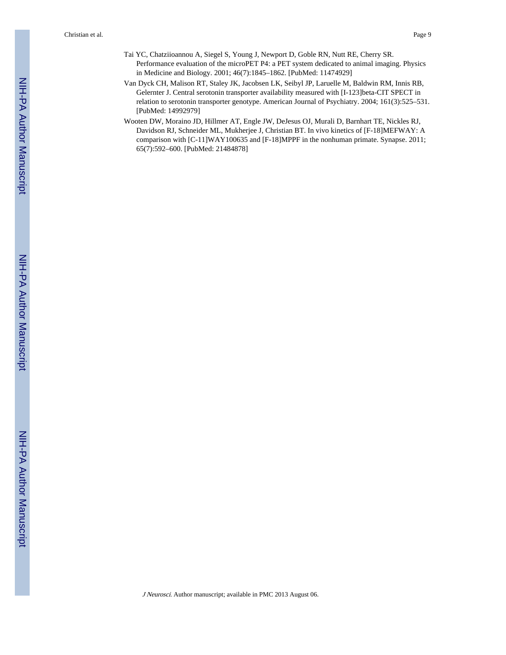Christian et al. Page 9

- Tai YC, Chatziioannou A, Siegel S, Young J, Newport D, Goble RN, Nutt RE, Cherry SR. Performance evaluation of the microPET P4: a PET system dedicated to animal imaging. Physics in Medicine and Biology. 2001; 46(7):1845–1862. [PubMed: 11474929]
- Van Dyck CH, Malison RT, Staley JK, Jacobsen LK, Seibyl JP, Laruelle M, Baldwin RM, Innis RB, Gelernter J. Central serotonin transporter availability measured with [I-123]beta-CIT SPECT in relation to serotonin transporter genotype. American Journal of Psychiatry. 2004; 161(3):525–531. [PubMed: 14992979]
- Wooten DW, Moraino JD, Hillmer AT, Engle JW, DeJesus OJ, Murali D, Barnhart TE, Nickles RJ, Davidson RJ, Schneider ML, Mukherjee J, Christian BT. In vivo kinetics of [F-18]MEFWAY: A comparison with [C-11]WAY100635 and [F-18]MPPF in the nonhuman primate. Synapse. 2011; 65(7):592–600. [PubMed: 21484878]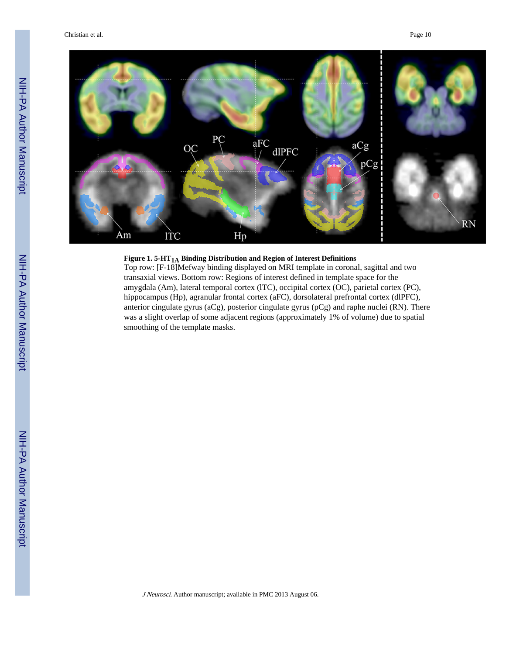

# **Figure 1. 5-HT1A Binding Distribution and Region of Interest Definitions**

Top row: [F-18]Mefway binding displayed on MRI template in coronal, sagittal and two transaxial views. Bottom row: Regions of interest defined in template space for the amygdala (Am), lateral temporal cortex (lTC), occipital cortex (OC), parietal cortex (PC), hippocampus (Hp), agranular frontal cortex (aFC), dorsolateral prefrontal cortex (dlPFC), anterior cingulate gyrus (aCg), posterior cingulate gyrus (pCg) and raphe nuclei (RN). There was a slight overlap of some adjacent regions (approximately 1% of volume) due to spatial smoothing of the template masks.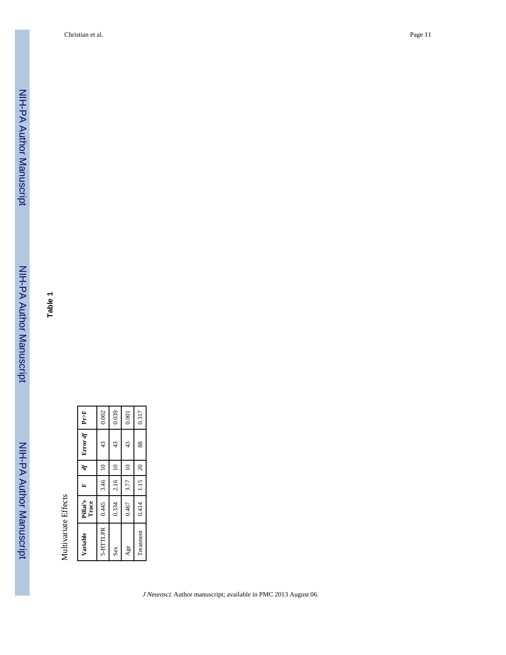Christian et al. Page 11

**Table 1**

Multivariate Effects

Multivariate Effects

| $\approx$<br>$\approx$<br>$\approx$<br> 1.15 <br>2.16<br>3.46<br>3.77<br>0.334<br>0.445<br>0.467<br>5-HTTLPR<br>Treatment<br>Age<br>Sex | Variable | Pillai's<br>Trace | Ŀ, | ď         | Error df | Pr>F  |
|-----------------------------------------------------------------------------------------------------------------------------------------|----------|-------------------|----|-----------|----------|-------|
|                                                                                                                                         |          |                   |    |           | 43       | 0.002 |
|                                                                                                                                         |          |                   |    |           | 43       | 0.039 |
|                                                                                                                                         |          |                   |    |           | 43       | 0.001 |
|                                                                                                                                         |          | 0.414             |    | $\approx$ | 88       | 0.317 |